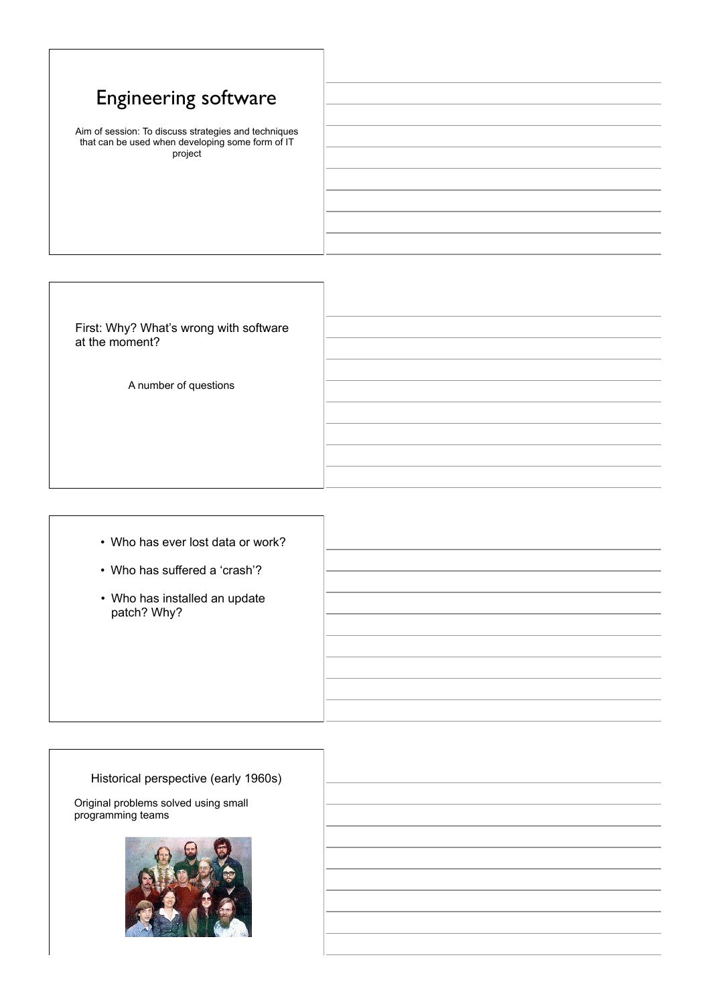## Engineering software

Aim of session: To discuss strategies and techniques that can be used when developing some form of IT project

First: Why? What's wrong with software at the moment?

A number of questions

- Who has ever lost data or work?
- Who has suffered a 'crash'?
- Who has installed an update patch? Why?

## Historical perspective (early 1960s)

Original problems solved using small programming teams

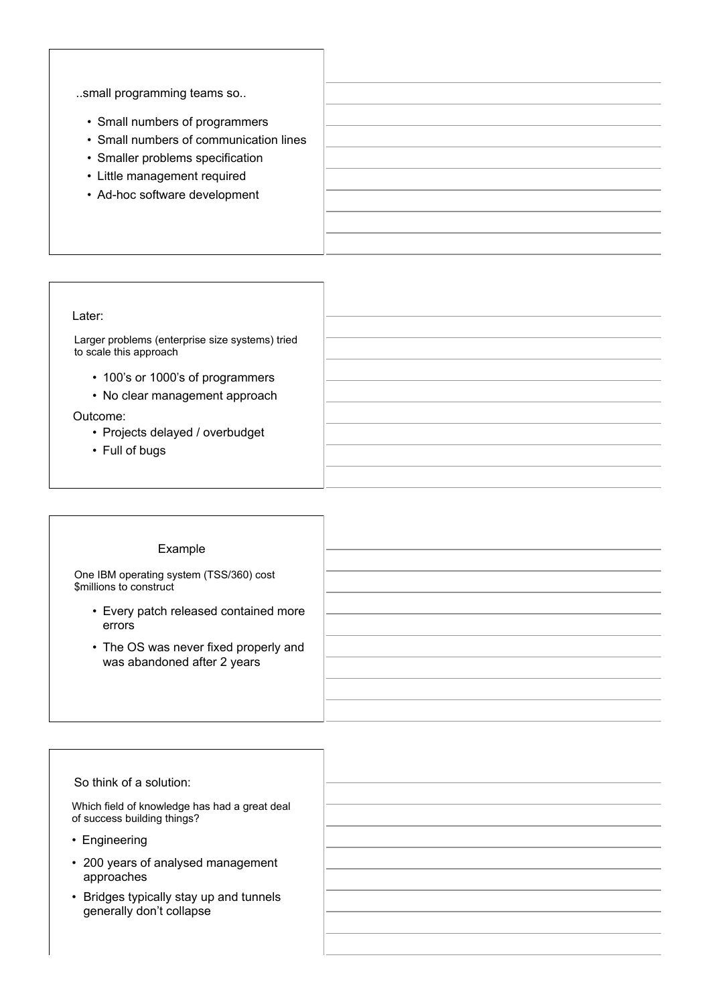..small programming teams so..

- Small numbers of programmers
- Small numbers of communication lines
- Smaller problems specification
- Little management required
- Ad-hoc software development

## Later:

Larger problems (enterprise size systems) tried to scale this approach

- 100's or 1000's of programmers
- No clear management approach

## Outcome:

- Projects delayed / overbudget
- Full of bugs

| Example                                                            |  |
|--------------------------------------------------------------------|--|
|                                                                    |  |
|                                                                    |  |
| One IBM operating system (TSS/360) cost<br>\$millions to construct |  |
|                                                                    |  |
| • Every patch released contained more                              |  |
| errors                                                             |  |
|                                                                    |  |
| • The OS was never fixed properly and                              |  |
| was abandoned after 2 years                                        |  |
|                                                                    |  |
|                                                                    |  |
|                                                                    |  |

| So think of a solution:                                                      |  |
|------------------------------------------------------------------------------|--|
| Which field of knowledge has had a great deal<br>of success building things? |  |
| • Engineering                                                                |  |
| • 200 years of analysed management<br>approaches                             |  |
| • Bridges typically stay up and tunnels<br>generally don't collapse          |  |
|                                                                              |  |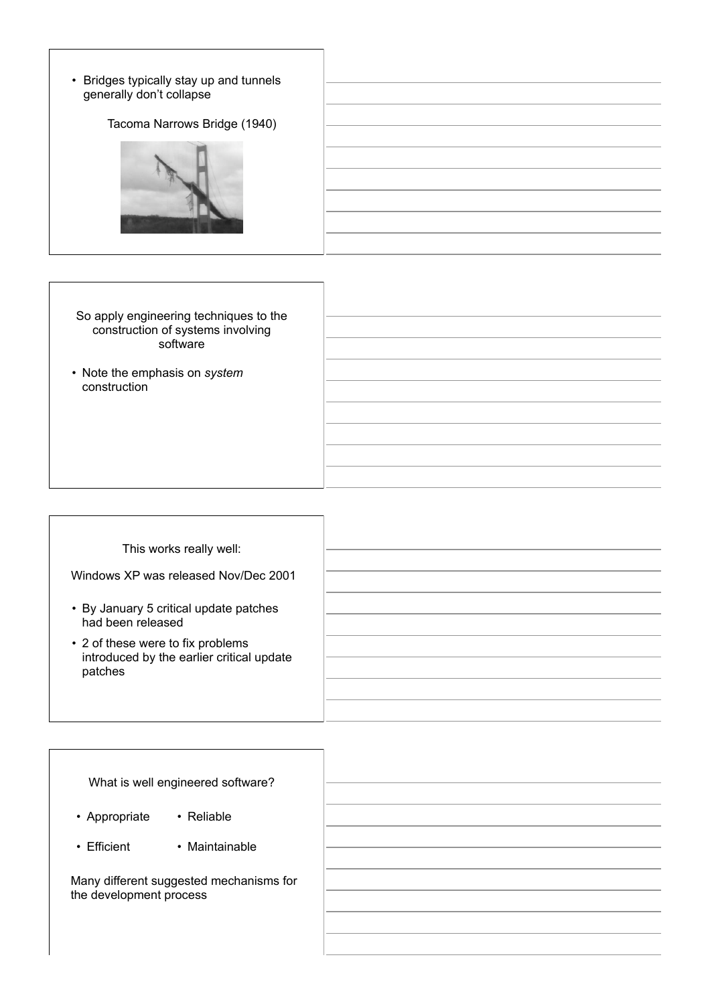• Bridges typically stay up and tunnels generally don't collapse

Tacoma Narrows Bridge (1940)



So apply engineering techniques to the construction of systems involving software

• Note the emphasis on *system* construction

| This works really well:                                                                   |
|-------------------------------------------------------------------------------------------|
| Windows XP was released Nov/Dec 2001                                                      |
| • By January 5 critical update patches<br>had been released                               |
| • 2 of these were to fix problems<br>introduced by the earlier critical update<br>patches |
|                                                                                           |

| What is well engineered software?                                  |  |
|--------------------------------------------------------------------|--|
| • Reliable<br>• Appropriate                                        |  |
| $\cdot$ Efficient<br>• Maintainable                                |  |
| Many different suggested mechanisms for<br>the development process |  |
|                                                                    |  |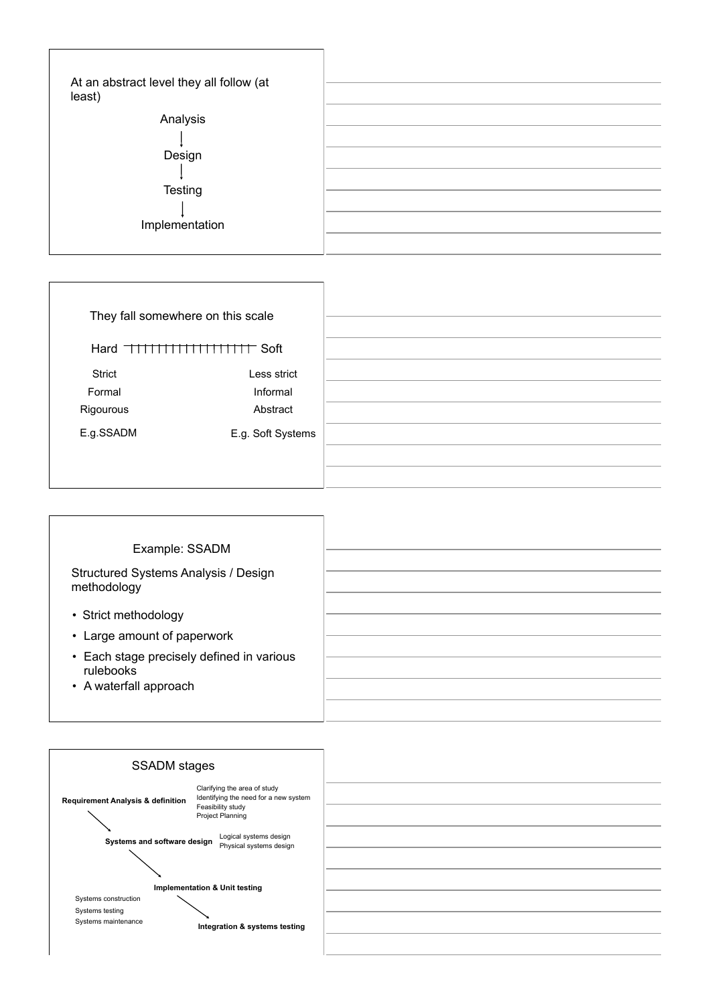| At an abstract level they all follow (at<br>least) |  |
|----------------------------------------------------|--|
| Analysis                                           |  |
|                                                    |  |
| Design                                             |  |
|                                                    |  |
| Testing                                            |  |
|                                                    |  |
| Implementation                                     |  |
|                                                    |  |

| They fall somewhere on this scale |                   |
|-----------------------------------|-------------------|
| Hard THIHHHHHHHH Soft             |                   |
| Strict                            | Less strict       |
| Formal                            | Informal          |
| Rigourous                         | Abstract          |
| E.g.SSADM                         | E.g. Soft Systems |
|                                   |                   |
|                                   |                   |

| Example: SSADM                                                                   |  |
|----------------------------------------------------------------------------------|--|
| Structured Systems Analysis / Design<br>methodology                              |  |
| • Strict methodology<br>• Large amount of paperwork                              |  |
| • Each stage precisely defined in various<br>rulebooks<br>• A waterfall approach |  |

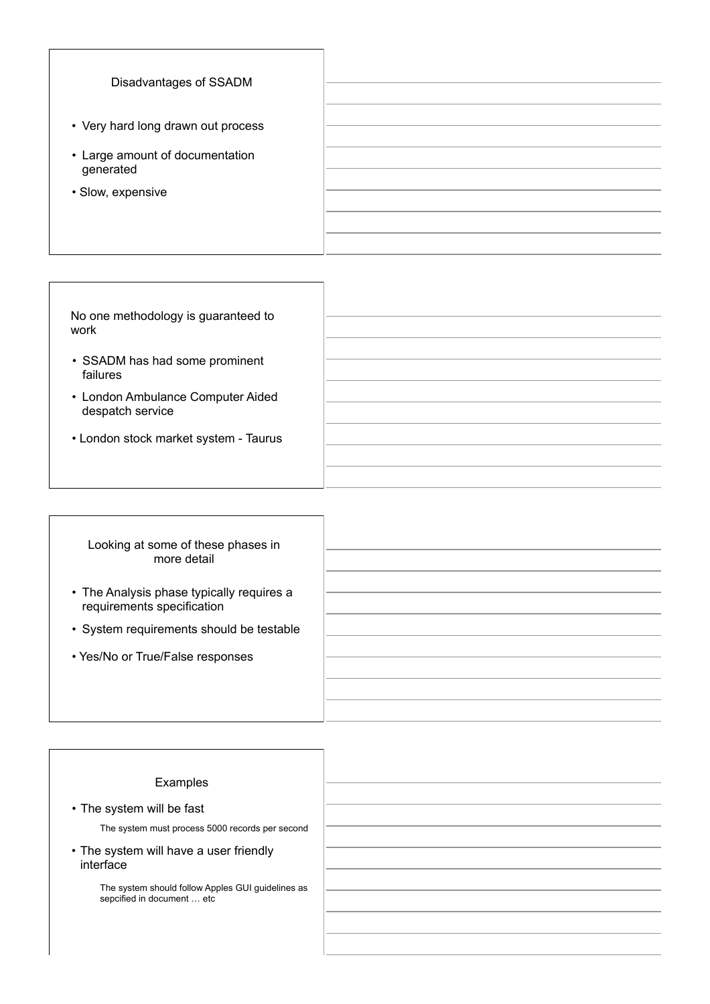| Disadvantages of SSADM                       |  |
|----------------------------------------------|--|
| • Very hard long drawn out process           |  |
| • Large amount of documentation<br>generated |  |
| • Slow, expensive                            |  |
|                                              |  |

| No one methodology is guaranteed to<br>work           |  |
|-------------------------------------------------------|--|
| • SSADM has had some prominent<br>failures            |  |
| • London Ambulance Computer Aided<br>despatch service |  |
| • London stock market system - Taurus                 |  |
|                                                       |  |

| Looking at some of these phases in |  |
|------------------------------------|--|
| more detail                        |  |

- The Analysis phase typically requires a requirements specification
- System requirements should be testable
- Yes/No or True/False responses

| Examples                                                                        |  |
|---------------------------------------------------------------------------------|--|
| • The system will be fast                                                       |  |
| The system must process 5000 records per second                                 |  |
| • The system will have a user friendly<br>interface                             |  |
| The system should follow Apples GUI guidelines as<br>sepcified in document  etc |  |
|                                                                                 |  |
|                                                                                 |  |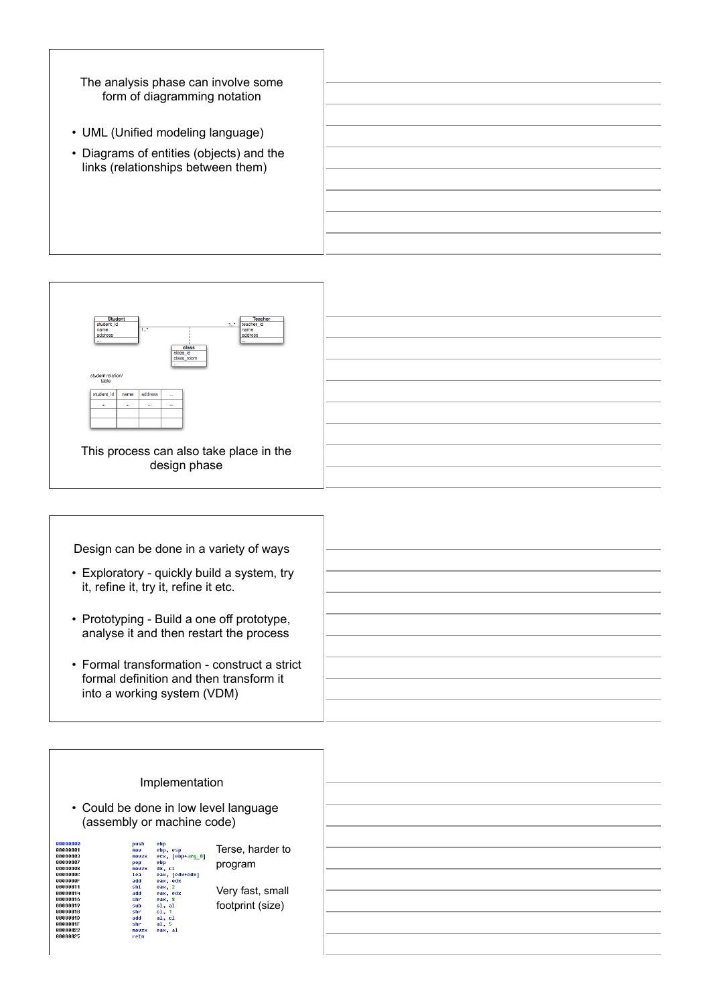

- UML (Unified modeling language)
- Diagrams of entities (objects) and the links (relationships between them)



Design can be done in a variety of ways

- Exploratory quickly build a system, try it, refine it, try it, refine it etc.
- Prototyping Build a one off prototype, analyse it and then restart the process
- Formal transformation construct a strict formal definition and then transform it into a working system (VDM)

| Implementation<br>• Could be done in low level language<br>(assembly or machine code)                                                                                                                                                                                                                                                                                                                                                                                                                                        |                                                                     |  |
|------------------------------------------------------------------------------------------------------------------------------------------------------------------------------------------------------------------------------------------------------------------------------------------------------------------------------------------------------------------------------------------------------------------------------------------------------------------------------------------------------------------------------|---------------------------------------------------------------------|--|
| 66666666<br>ebp<br>push<br>00000001<br>ebp, esp<br>nov<br>00000003<br>ecx, [ebp+arg_0]<br><b>ROUZX</b><br>00000007<br>ebp<br>pop<br>00000008<br>$dx$ , $c1$<br><b>ROUZX</b><br>00000000<br>eax, [edx+edx]<br>lea<br>0000000F<br>eax, edx<br>add<br>00000011<br>eax, 2<br>sh1<br>00000014<br>eax, edx<br>add<br>00000016<br>shr<br>eax, 8<br>00000019<br>cl, al<br>sub<br>0000001B<br>c1, 1<br>shr<br><b>GGGGGG1D</b><br>al, cl<br>add<br>0000001F<br>a1, 5<br>shr<br>00000022<br>eax, al<br><b>ROVZX</b><br>00000025<br>retn | Terse, harder to<br>program<br>Very fast, small<br>footprint (size) |  |